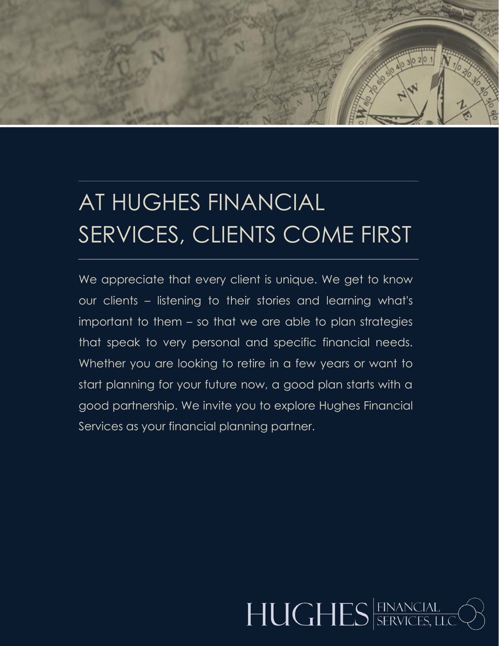## AT HUGHES FINANCIAL SERVICES, CLIENTS COME FIRST

We appreciate that every client is unique. We get to know our clients – listening to their stories and learning what's important to them – so that we are able to plan strategies that speak to very personal and specific financial needs. Whether you are looking to retire in a few years or want to start planning for your future now, a good plan starts with a good partnership. We invite you to explore Hughes Financial Services as your financial planning partner.

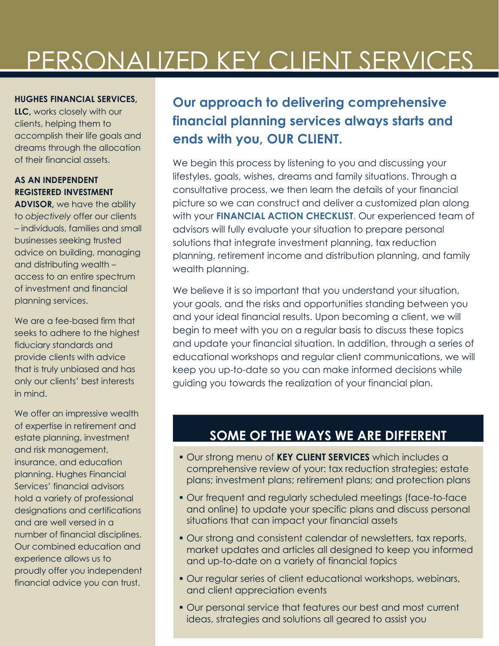## PERSONALIZED KEY CLIENT SERVICES

#### **HUGHES FINANCIAL SERVICES,**

**LLC,** works closely with our clients, helping them to accomplish their life goals and dreams through the allocation of their financial assets.

#### **AS AN INDEPENDENT REGISTERED INVESTMENT**

**ADVISOR,** we have the ability to *objectively* offer our clients – individuals, families and small businesses seeking trusted advice on building, managing and distributing wealth – access to an entire spectrum of investment and financial planning services.

We are a fee-based firm that seeks to adhere to the highest fiduciary standards and provide clients with advice that is truly unbiased and has only our clients' best interests in mind.

We offer an impressive wealth of expertise in retirement and estate planning, investment and risk management, insurance, and education planning. Hughes Financial Services' financial advisors hold a variety of professional designations and certifications and are well versed in a number of financial disciplines. Our combined education and experience allows us to proudly offer you independent financial advice you can trust.

### **Our approach to delivering comprehensive financial planning services always starts and ends with you, OUR CLIENT.**

We begin this process by listening to you and discussing your lifestyles, goals, wishes, dreams and family situations. Through a consultative process, we then learn the details of your financial picture so we can construct and deliver a customized plan along with your **FINANCIAL ACTION CHECKLIST**. Our experienced team of advisors will fully evaluate your situation to prepare personal solutions that integrate investment planning, tax reduction planning, retirement income and distribution planning, and family wealth planning.

We believe it is so important that you understand your situation, your goals, and the risks and opportunities standing between you and your ideal financial results. Upon becoming a client, we will begin to meet with you on a regular basis to discuss these topics and update your financial situation. In addition, through a series of educational workshops and regular client communications, we will keep you up-to-date so you can make informed decisions while guiding you towards the realization of your financial plan.

### **SOME OF THE WAYS WE ARE DIFFERENT**

- Our strong menu of **KEY CLIENT SERVICES** which includes a comprehensive review of your: tax reduction strategies; estate plans; investment plans; retirement plans; and protection plans
- Our frequent and regularly scheduled meetings (face-to-face and online) to update your specific plans and discuss personal situations that can impact your financial assets
- Our strong and consistent calendar of newsletters, tax reports, market updates and articles all designed to keep you informed and up-to-date on a variety of financial topics
- **Our regular series of client educational workshops, webinars,** and client appreciation events
- Our personal service that features our best and most current ideas, strategies and solutions all geared to assist you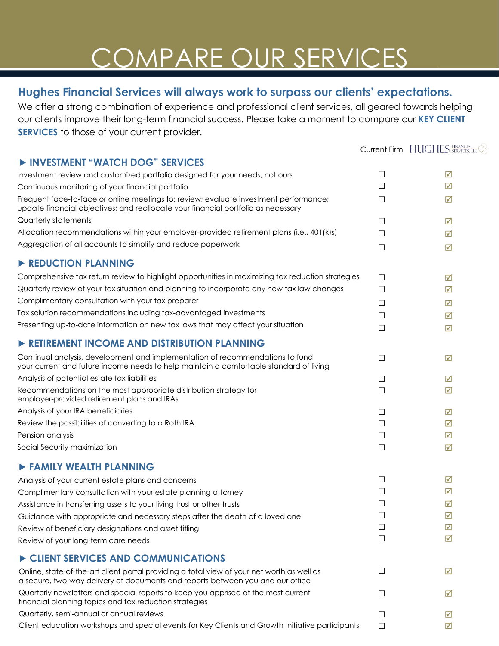# COMPARE OUR SERVICES

### **Hughes Financial Services will always work to surpass our clients' expectations.**

**INVESTMENT "WATCH BOO" SERVICES** 

We offer a strong combination of experience and professional client services, all geared towards helping our clients improve their long-term financial success. Please take a moment to compare our **KEY CLIENT SERVICES** to those of your current provider.

Current Firm HUGHES FINANCIAL O

| <b>FINVESIMENT WATCH DUG SERVICES</b>                                                                                                                                        |              |   |
|------------------------------------------------------------------------------------------------------------------------------------------------------------------------------|--------------|---|
| Investment review and customized portfolio designed for your needs, not ours                                                                                                 | □            | ☑ |
| Continuous monitoring of your financial portfolio                                                                                                                            | П            | ☑ |
| Frequent face-to-face or online meetings to: review; evaluate investment performance;<br>update financial objectives; and reallocate your financial portfolio as necessary   | □            | ☑ |
| Quarterly statements                                                                                                                                                         | $\Box$       | ☑ |
| Allocation recommendations within your employer-provided retirement plans (i.e., 401(k)s)                                                                                    | П            | ☑ |
| Aggregation of all accounts to simplify and reduce paperwork                                                                                                                 | □            | ☑ |
| REDUCTION PLANNING                                                                                                                                                           |              |   |
| Comprehensive tax return review to highlight opportunities in maximizing tax reduction strategies                                                                            | $\Box$       | ☑ |
| Quarterly review of your tax situation and planning to incorporate any new tax law changes                                                                                   | $\Box$       | ☑ |
| Complimentary consultation with your tax preparer                                                                                                                            | $\Box$       | ☑ |
| Tax solution recommendations including tax-advantaged investments                                                                                                            | $\Box$       | ☑ |
| Presenting up-to-date information on new tax laws that may affect your situation                                                                                             | $\Box$       | ☑ |
| RETIREMENT INCOME AND DISTRIBUTION PLANNING                                                                                                                                  |              |   |
| Continual analysis, development and implementation of recommendations to fund<br>your current and future income needs to help maintain a comfortable standard of living      | $\Box$       | ☑ |
| Analysis of potential estate tax liabilities                                                                                                                                 | $\Box$       | ☑ |
| Recommendations on the most appropriate distribution strategy for<br>employer-provided retirement plans and IRAs                                                             | $\Box$       | ☑ |
| Analysis of your IRA beneficiaries                                                                                                                                           | □            | ☑ |
| Review the possibilities of converting to a Roth IRA                                                                                                                         | Ш            | ☑ |
| Pension analysis                                                                                                                                                             | $\Box$       | ☑ |
| Social Security maximization                                                                                                                                                 | $\Box$       | ☑ |
| <b>FAMILY WEALTH PLANNING</b>                                                                                                                                                |              |   |
| Analysis of your current estate plans and concerns                                                                                                                           | $\Box$       | ☑ |
| Complimentary consultation with your estate planning attorney                                                                                                                | $\Box$       | ☑ |
| Assistance in transferring assets to your living trust or other trusts                                                                                                       | $\mathsf{L}$ | ☑ |
| Guidance with appropriate and necessary steps after the death of a loved one                                                                                                 |              | ☑ |
| Review of beneficiary designations and asset titling                                                                                                                         | □            | ☑ |
| Review of your long-term care needs                                                                                                                                          | $\Box$       | ☑ |
| CLIENT SERVICES AND COMMUNICATIONS                                                                                                                                           |              |   |
| Online, state-of-the-art client portal providing a total view of your net worth as well as<br>a secure, two-way delivery of documents and reports between you and our office | $\Box$       | ☑ |
| Quarterly newsletters and special reports to keep you apprised of the most current<br>financial planning topics and tax reduction strategies                                 | ΙI           | М |
| Quarterly, semi-annual or annual reviews                                                                                                                                     |              | ⋈ |
| Client education workshops and special events for Key Clients and Growth Initiative participants                                                                             | □            | ☑ |